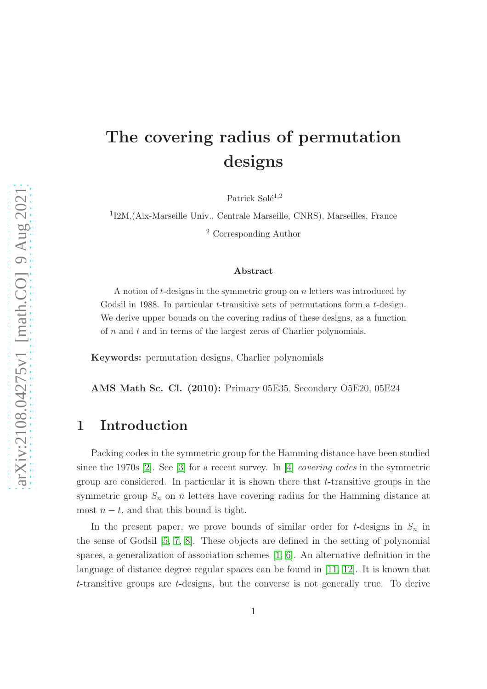# The covering radius of permutation designs

Patrick Solé<sup>1,2</sup>

1 I2M,(Aix-Marseille Univ., Centrale Marseille, CNRS), Marseilles, France <sup>2</sup> Corresponding Author

#### Abstract

A notion of t-designs in the symmetric group on  $n$  letters was introduced by Godsil in 1988. In particular t-transitive sets of permutations form a t-design. We derive upper bounds on the covering radius of these designs, as a function of  $n$  and  $t$  and in terms of the largest zeros of Charlier polynomials.

Keywords: permutation designs, Charlier polynomials

AMS Math Sc. Cl. (2010): Primary 05E35, Secondary O5E20, 05E24

### 1 Introduction

Packing codes in the symmetric group for the Hamming distance have been studied since the 1970s [\[2\]](#page-6-0). See [\[3\]](#page-6-1) for a recent survey. In [\[4\]](#page-6-2) *covering codes* in the symmetric group are considered. In particular it is shown there that  $t$ -transitive groups in the symmetric group  $S_n$  on n letters have covering radius for the Hamming distance at most  $n - t$ , and that this bound is tight.

In the present paper, we prove bounds of similar order for t-designs in  $S_n$  in the sense of Godsil [\[5,](#page-6-3) [7,](#page-6-4) [8\]](#page-6-5). These objects are defined in the setting of polynomial spaces, a generalization of association schemes [\[1,](#page-6-6) [6\]](#page-6-7). An alternative definition in the language of distance degree regular spaces can be found in [\[11,](#page-7-0) [12\]](#page-7-1). It is known that t-transitive groups are t-designs, but the converse is not generally true. To derive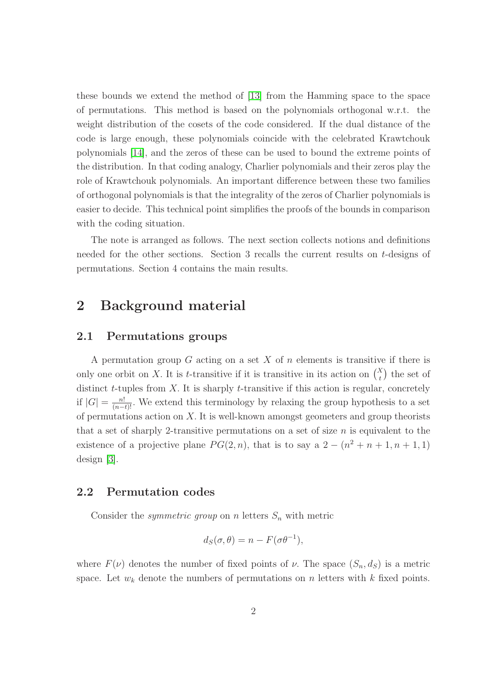these bounds we extend the method of [\[13\]](#page-7-2) from the Hamming space to the space of permutations. This method is based on the polynomials orthogonal w.r.t. the weight distribution of the cosets of the code considered. If the dual distance of the code is large enough, these polynomials coincide with the celebrated Krawtchouk polynomials [\[14\]](#page-7-3), and the zeros of these can be used to bound the extreme points of the distribution. In that coding analogy, Charlier polynomials and their zeros play the role of Krawtchouk polynomials. An important difference between these two families of orthogonal polynomials is that the integrality of the zeros of Charlier polynomials is easier to decide. This technical point simplifies the proofs of the bounds in comparison with the coding situation.

The note is arranged as follows. The next section collects notions and definitions needed for the other sections. Section 3 recalls the current results on t-designs of permutations. Section 4 contains the main results.

## 2 Background material

### 2.1 Permutations groups

A permutation group  $G$  acting on a set  $X$  of  $n$  elements is transitive if there is only one orbit on X. It is t-transitive if it is transitive in its action on  $\binom{X}{t}$  the set of distinct  $t$ -tuples from  $X$ . It is sharply  $t$ -transitive if this action is regular, concretely if  $|G| = \frac{n!}{(n-t)!}$ . We extend this terminology by relaxing the group hypothesis to a set of permutations action on  $X$ . It is well-known amongst geometers and group theorists that a set of sharply 2-transitive permutations on a set of size  $n$  is equivalent to the existence of a projective plane  $PG(2, n)$ , that is to say a  $2 - (n^2 + n + 1, n + 1, 1)$ design [\[3\]](#page-6-1).

#### 2.2 Permutation codes

Consider the *symmetric group* on n letters  $S_n$  with metric

$$
d_S(\sigma, \theta) = n - F(\sigma \theta^{-1}),
$$

where  $F(\nu)$  denotes the number of fixed points of  $\nu$ . The space  $(S_n, d_S)$  is a metric space. Let  $w_k$  denote the numbers of permutations on n letters with k fixed points.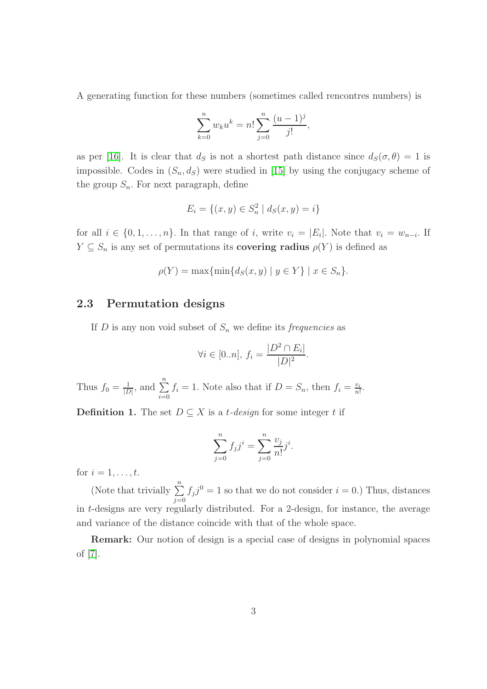A generating function for these numbers (sometimes called rencontres numbers) is

$$
\sum_{k=0}^{n} w_k u^k = n! \sum_{j=0}^{n} \frac{(u-1)^j}{j!},
$$

as per [\[16\]](#page-7-4). It is clear that  $d_S$  is not a shortest path distance since  $d_S(\sigma, \theta) = 1$  is impossible. Codes in  $(S_n, d_S)$  were studied in [\[15\]](#page-7-5) by using the conjugacy scheme of the group  $S_n$ . For next paragraph, define

$$
E_i = \{(x, y) \in S_n^2 \mid d_S(x, y) = i\}
$$

for all  $i \in \{0, 1, \ldots, n\}$ . In that range of i, write  $v_i = |E_i|$ . Note that  $v_i = w_{n-i}$ . If  $Y \subseteq S_n$  is any set of permutations its **covering radius**  $\rho(Y)$  is defined as

$$
\rho(Y) = \max\{\min\{d_S(x, y) \mid y \in Y\} \mid x \in S_n\}.
$$

#### 2.3 Permutation designs

If D is any non void subset of  $S_n$  we define its *frequencies* as

$$
\forall i \in [0..n], f_i = \frac{|D^2 \cap E_i|}{|D|^2}.
$$

Thus  $f_0 = \frac{1}{|L|}$  $\frac{1}{|D|}$ , and  $\sum_{n=1}^{n}$  $i=0$  $f_i = 1$ . Note also that if  $D = S_n$ , then  $f_i = \frac{v_i}{n!}$  $\frac{v_i}{n!}$ .

**Definition 1.** The set  $D \subseteq X$  is a *t*-design for some integer t if

$$
\sum_{j=0}^{n} f_j j^i = \sum_{j=0}^{n} \frac{v_j}{n!} j^i.
$$

for  $i = 1, \ldots, t$ .

(Note that trivially  $\sum_{n=1}^{\infty}$  $j=0$  $f_j j^0 = 1$  so that we do not consider  $i = 0$ .) Thus, distances in t-designs are very regularly distributed. For a 2-design, for instance, the average and variance of the distance coincide with that of the whole space.

Remark: Our notion of design is a special case of designs in polynomial spaces of [\[7\]](#page-6-4).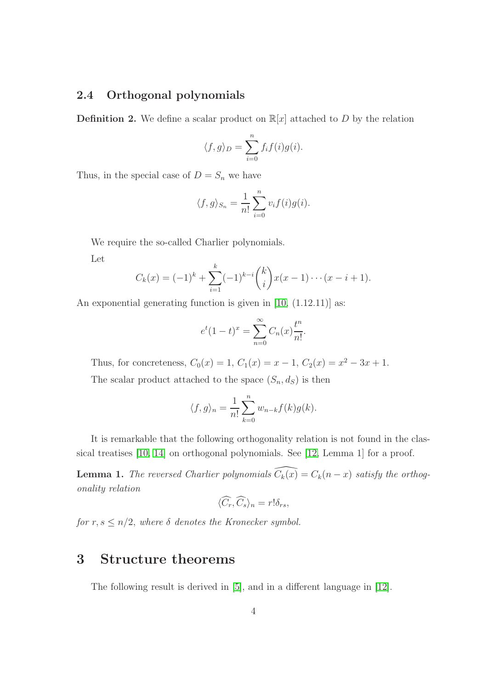### 2.4 Orthogonal polynomials

**Definition 2.** We define a scalar product on  $\mathbb{R}[x]$  attached to D by the relation

$$
\langle f, g \rangle_D = \sum_{i=0}^n f_i f(i) g(i).
$$

Thus, in the special case of  $D = S_n$  we have

$$
\langle f, g \rangle_{S_n} = \frac{1}{n!} \sum_{i=0}^n v_i f(i) g(i).
$$

We require the so-called Charlier polynomials.

Let

$$
C_k(x) = (-1)^k + \sum_{i=1}^k (-1)^{k-i} {k \choose i} x(x-1) \cdots (x-i+1).
$$

An exponential generating function is given in [\[10,](#page-7-6) (1.12.11)] as:

$$
e^{t}(1-t)^{x} = \sum_{n=0}^{\infty} C_n(x) \frac{t^n}{n!}.
$$

Thus, for concreteness,  $C_0(x) = 1$ ,  $C_1(x) = x - 1$ ,  $C_2(x) = x^2 - 3x + 1$ .

The scalar product attached to the space  $(S_n, d_S)$  is then

$$
\langle f, g \rangle_n = \frac{1}{n!} \sum_{k=0}^n w_{n-k} f(k) g(k).
$$

It is remarkable that the following orthogonality relation is not found in the classical treatises [\[10,](#page-7-6) [14\]](#page-7-3) on orthogonal polynomials. See [\[12,](#page-7-1) Lemma 1] for a proof.

**Lemma 1.** The reversed Charlier polynomials  $\widehat{C_k(x)} = C_k(n - x)$  satisfy the orthogonality relation

$$
\langle \widehat{C_r}, \widehat{C_s} \rangle_n = r! \delta_{rs},
$$

for  $r, s \leq n/2$ , where  $\delta$  denotes the Kronecker symbol.

### 3 Structure theorems

The following result is derived in [\[5\]](#page-6-3), and in a different language in [\[12\]](#page-7-1).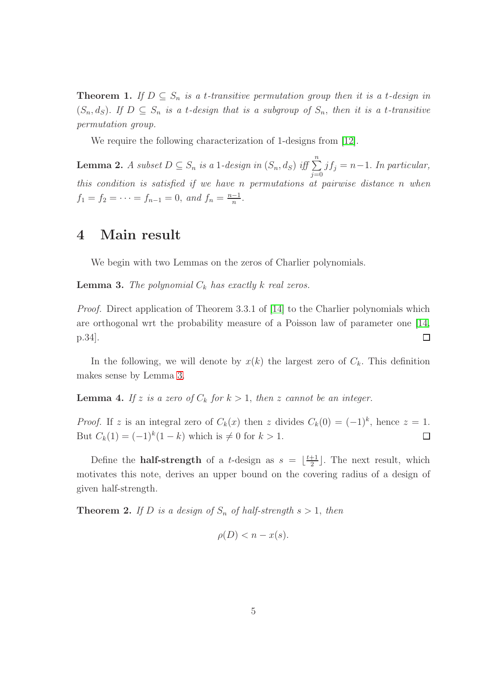**Theorem 1.** If  $D \subseteq S_n$  is a t-transitive permutation group then it is a t-design in  $(S_n, d_S)$ . If  $D \subseteq S_n$  is a t-design that is a subgroup of  $S_n$ , then it is a t-transitive permutation group.

We require the following characterization of 1-designs from [\[12\]](#page-7-1).

<span id="page-4-2"></span>**Lemma 2.** A subset  $D \subseteq S_n$  is a 1-design in  $(S_n, d_S)$  iff  $\sum_{j=0}^n jf_j = n-1$ . In particular, this condition is satisfied if we have n permutations at pairwise distance n when  $f_1 = f_2 = \cdots = f_{n-1} = 0$ , and  $f_n = \frac{n-1}{n}$  $\frac{-1}{n}$ .

### 4 Main result

We begin with two Lemmas on the zeros of Charlier polynomials.

<span id="page-4-0"></span>**Lemma 3.** The polynomial  $C_k$  has exactly k real zeros.

Proof. Direct application of Theorem 3.3.1 of [\[14\]](#page-7-3) to the Charlier polynomials which are orthogonal wrt the probability measure of a Poisson law of parameter one [\[14,](#page-7-3) p.34].  $\Box$ 

In the following, we will denote by  $x(k)$  the largest zero of  $C_k$ . This definition makes sense by Lemma [3.](#page-4-0)

<span id="page-4-1"></span>**Lemma 4.** If z is a zero of  $C_k$  for  $k > 1$ , then z cannot be an integer.

*Proof.* If z is an integral zero of  $C_k(x)$  then z divides  $C_k(0) = (-1)^k$ , hence  $z = 1$ . But  $C_k(1) = (-1)^k (1 - k)$  which is  $\neq 0$  for  $k > 1$ .  $\Box$ 

Define the **half-strength** of a *t*-design as  $s = \lfloor \frac{t+1}{2} \rfloor$  $\frac{+1}{2}$ . The next result, which motivates this note, derives an upper bound on the covering radius of a design of given half-strength.

**Theorem 2.** If D is a design of  $S_n$  of half-strength  $s > 1$ , then

$$
\rho(D) < n - x(s).
$$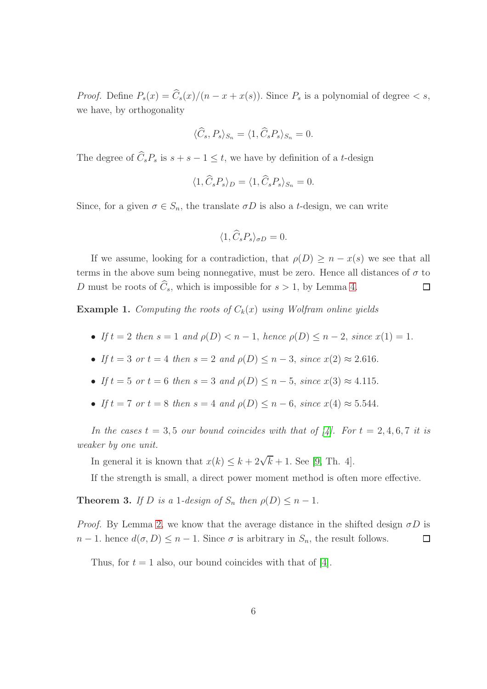*Proof.* Define  $P_s(x) = \hat{C}_s(x)/(n - x + x(s))$ . Since  $P_s$  is a polynomial of degree  $\langle s, \rangle$ we have, by orthogonality

$$
\langle \widehat{C}_s, P_s \rangle_{S_n} = \langle 1, \widehat{C}_s P_s \rangle_{S_n} = 0.
$$

The degree of  $\widehat{C}_s P_s$  is  $s + s - 1 \leq t$ , we have by definition of a t-design

$$
\langle 1, \hat{C}_s P_s \rangle_D = \langle 1, \hat{C}_s P_s \rangle_{S_n} = 0.
$$

Since, for a given  $\sigma \in S_n$ , the translate  $\sigma D$  is also a *t*-design, we can write

$$
\langle 1, \widehat{C}_s P_s \rangle_{\sigma D} = 0.
$$

If we assume, looking for a contradiction, that  $\rho(D) \geq n - x(s)$  we see that all terms in the above sum being nonnegative, must be zero. Hence all distances of  $\sigma$  to D must be roots of  $\widehat{C}_s$ , which is impossible for  $s > 1$ , by Lemma [4.](#page-4-1)  $\Box$ 

**Example 1.** Computing the roots of  $C_k(x)$  using Wolfram online yields

- If  $t = 2$  then  $s = 1$  and  $\rho(D) < n 1$ , hence  $\rho(D) \leq n 2$ , since  $x(1) = 1$ .
- If  $t = 3$  or  $t = 4$  then  $s = 2$  and  $\rho(D) \le n 3$ , since  $x(2) \approx 2.616$ .
- If  $t = 5$  or  $t = 6$  then  $s = 3$  and  $\rho(D) \leq n 5$ , since  $x(3) \approx 4.115$ .
- If  $t = 7$  or  $t = 8$  then  $s = 4$  and  $\rho(D) \le n 6$ , since  $x(4) \approx 5.544$ .

In the cases  $t = 3, 5$  our bound coincides with that of [\[4\]](#page-6-2). For  $t = 2, 4, 6, 7$  it is weaker by one unit.

In general it is known that  $x(k) \leq k + 2\sqrt{k} + 1$ . See [\[9,](#page-6-8) Th. 4].

If the strength is small, a direct power moment method is often more effective.

**Theorem 3.** If D is a 1-design of  $S_n$  then  $\rho(D) \leq n-1$ .

*Proof.* By Lemma [2,](#page-4-2) we know that the average distance in the shifted design  $\sigma D$  is  $n-1$ . hence  $d(\sigma, D) \leq n-1$ . Since  $\sigma$  is arbitrary in  $S_n$ , the result follows.  $\Box$ 

Thus, for  $t = 1$  also, our bound coincides with that of [\[4\]](#page-6-2).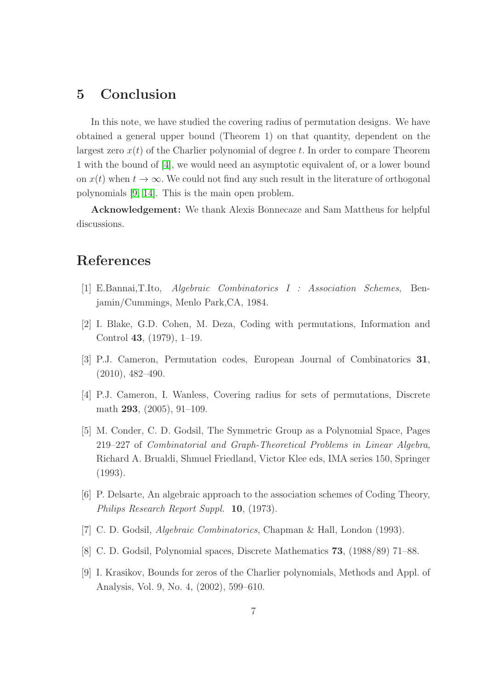### 5 Conclusion

In this note, we have studied the covering radius of permutation designs. We have obtained a general upper bound (Theorem 1) on that quantity, dependent on the largest zero  $x(t)$  of the Charlier polynomial of degree t. In order to compare Theorem 1 with the bound of [\[4\]](#page-6-2), we would need an asymptotic equivalent of, or a lower bound on  $x(t)$  when  $t \to \infty$ . We could not find any such result in the literature of orthogonal polynomials [\[9,](#page-6-8) [14\]](#page-7-3). This is the main open problem.

Acknowledgement: We thank Alexis Bonnecaze and Sam Mattheus for helpful discussions.

### <span id="page-6-6"></span>References

- <span id="page-6-0"></span>[1] E.Bannai,T.Ito, Algebraic Combinatorics I : Association Schemes, Benjamin/Cummings, Menlo Park,CA, 1984.
- <span id="page-6-1"></span>[2] I. Blake, G.D. Cohen, M. Deza, Coding with permutations, Information and Control 43, (1979), 1–19.
- <span id="page-6-2"></span>[3] P.J. Cameron, Permutation codes, European Journal of Combinatorics 31, (2010), 482–490.
- <span id="page-6-3"></span>[4] P.J. Cameron, I. Wanless, Covering radius for sets of permutations, Discrete math 293, (2005), 91–109.
- [5] M. Conder, C. D. Godsil, The Symmetric Group as a Polynomial Space, Pages 219–227 of Combinatorial and Graph-Theoretical Problems in Linear Algebra, Richard A. Brualdi, Shmuel Friedland, Victor Klee eds, IMA series 150, Springer (1993).
- <span id="page-6-7"></span><span id="page-6-4"></span>[6] P. Delsarte, An algebraic approach to the association schemes of Coding Theory, Philips Research Report Suppl. 10, (1973).
- <span id="page-6-5"></span>[7] C. D. Godsil, Algebraic Combinatorics, Chapman & Hall, London (1993).
- <span id="page-6-8"></span>[8] C. D. Godsil, Polynomial spaces, Discrete Mathematics 73, (1988/89) 71–88.
- [9] I. Krasikov, Bounds for zeros of the Charlier polynomials, Methods and Appl. of Analysis, Vol. 9, No. 4, (2002), 599–610.